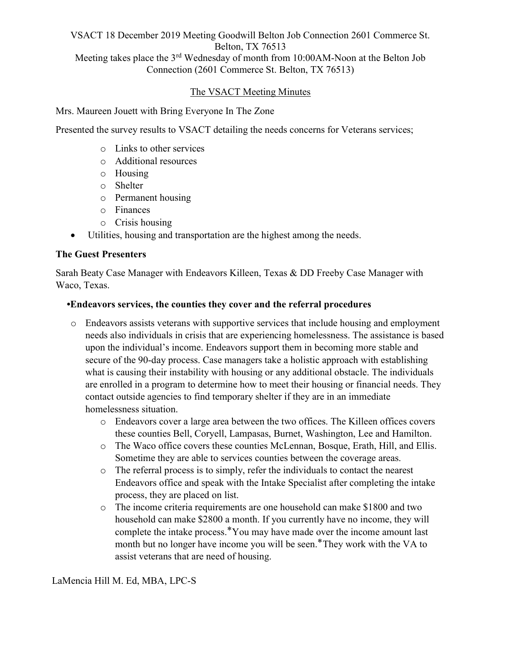# VSACT 18 December 2019 Meeting Goodwill Belton Job Connection 2601 Commerce St. Belton, TX 76513 Meeting takes place the 3rd Wednesday of month from 10:00AM-Noon at the Belton Job Connection (2601 Commerce St. Belton, TX 76513)

### The VSACT Meeting Minutes

Mrs. Maureen Jouett with Bring Everyone In The Zone

Presented the survey results to VSACT detailing the needs concerns for Veterans services;

- o Links to other services
- o Additional resources
- o Housing
- o Shelter
- o Permanent housing
- o Finances
- o Crisis housing
- Utilities, housing and transportation are the highest among the needs.

#### The Guest Presenters

Sarah Beaty Case Manager with Endeavors Killeen, Texas & DD Freeby Case Manager with Waco, Texas.

#### •Endeavors services, the counties they cover and the referral procedures

- o Endeavors assists veterans with supportive services that include housing and employment needs also individuals in crisis that are experiencing homelessness. The assistance is based upon the individual's income. Endeavors support them in becoming more stable and secure of the 90-day process. Case managers take a holistic approach with establishing what is causing their instability with housing or any additional obstacle. The individuals are enrolled in a program to determine how to meet their housing or financial needs. They contact outside agencies to find temporary shelter if they are in an immediate homelessness situation.
	- o Endeavors cover a large area between the two offices. The Killeen offices covers these counties Bell, Coryell, Lampasas, Burnet, Washington, Lee and Hamilton.
	- o The Waco office covers these counties McLennan, Bosque, Erath, Hill, and Ellis. Sometime they are able to services counties between the coverage areas.
	- o The referral process is to simply, refer the individuals to contact the nearest Endeavors office and speak with the Intake Specialist after completing the intake process, they are placed on list.
	- o The income criteria requirements are one household can make \$1800 and two household can make \$2800 a month. If you currently have no income, they will complete the intake process.<sup>\*</sup>You may have made over the income amount last month but no longer have income you will be seen.\*They work with the VA to assist veterans that are need of housing.

LaMencia Hill M. Ed, MBA, LPC-S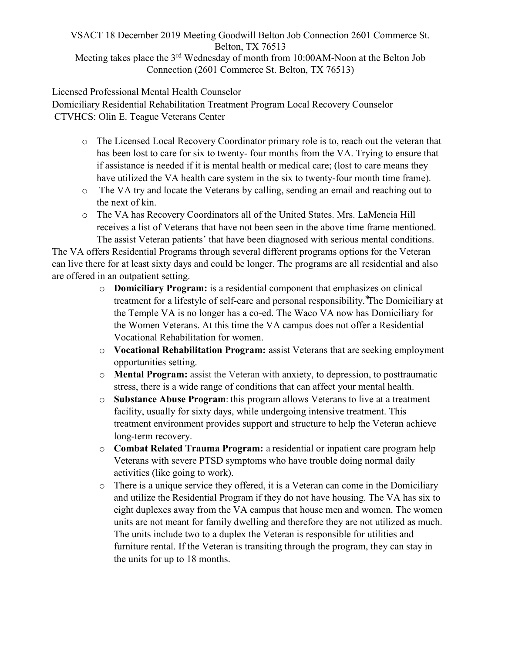## VSACT 18 December 2019 Meeting Goodwill Belton Job Connection 2601 Commerce St. Belton, TX 76513 Meeting takes place the 3<sup>rd</sup> Wednesday of month from 10:00AM-Noon at the Belton Job Connection (2601 Commerce St. Belton, TX 76513)

Licensed Professional Mental Health Counselor

Domiciliary Residential Rehabilitation Treatment Program Local Recovery Counselor CTVHCS: Olin E. Teague Veterans Center

- o The Licensed Local Recovery Coordinator primary role is to, reach out the veteran that has been lost to care for six to twenty- four months from the VA. Trying to ensure that if assistance is needed if it is mental health or medical care; (lost to care means they have utilized the VA health care system in the six to twenty-four month time frame).
- o The VA try and locate the Veterans by calling, sending an email and reaching out to the next of kin.
- o The VA has Recovery Coordinators all of the United States. Mrs. LaMencia Hill receives a list of Veterans that have not been seen in the above time frame mentioned. The assist Veteran patients' that have been diagnosed with serious mental conditions.

The VA offers Residential Programs through several different programs options for the Veteran can live there for at least sixty days and could be longer. The programs are all residential and also are offered in an outpatient setting.

- o Domiciliary Program: is a residential component that emphasizes on clinical treatment for a lifestyle of self-care and personal responsibility. The Domiciliary at the Temple VA is no longer has a co-ed. The Waco VA now has Domiciliary for the Women Veterans. At this time the VA campus does not offer a Residential Vocational Rehabilitation for women.
- o Vocational Rehabilitation Program: assist Veterans that are seeking employment opportunities setting.
- o Mental Program: assist the Veteran with anxiety, to depression, to posttraumatic stress, there is a wide range of conditions that can affect your mental health.
- o Substance Abuse Program: this program allows Veterans to live at a treatment facility, usually for sixty days, while undergoing intensive treatment. This treatment environment provides support and structure to help the Veteran achieve long-term recovery.
- o Combat Related Trauma Program: a residential or inpatient care program help Veterans with severe PTSD symptoms who have trouble doing normal daily activities (like going to work).
- o There is a unique service they offered, it is a Veteran can come in the Domiciliary and utilize the Residential Program if they do not have housing. The VA has six to eight duplexes away from the VA campus that house men and women. The women units are not meant for family dwelling and therefore they are not utilized as much. The units include two to a duplex the Veteran is responsible for utilities and furniture rental. If the Veteran is transiting through the program, they can stay in the units for up to 18 months.